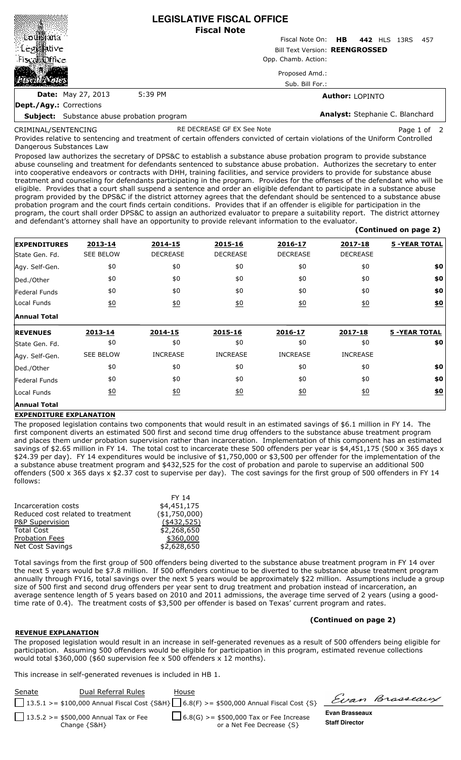|                                                   |         | <b>LEGISLATIVE FISCAL OFFICE</b><br><b>Fiscal Note</b>  |  |  |  |  |
|---------------------------------------------------|---------|---------------------------------------------------------|--|--|--|--|
|                                                   |         | Fiscal Note On:<br><b>HB</b><br>442 HLS<br>13RS<br>-457 |  |  |  |  |
| ် Leg <b>ge</b> tive                              |         | <b>Bill Text Version: REENGROSSED</b>                   |  |  |  |  |
| Fiscal binde                                      |         | Opp. Chamb. Action:                                     |  |  |  |  |
|                                                   |         | Proposed Amd.:                                          |  |  |  |  |
|                                                   |         | Sub. Bill For.:                                         |  |  |  |  |
| <b>Date:</b> May 27, 2013                         | 5:39 PM | <b>Author: LOPINTO</b>                                  |  |  |  |  |
| Dept./Agy.: Corrections                           |         |                                                         |  |  |  |  |
| <b>Subject:</b> Substance abuse probation program |         | Analyst: Stephanie C. Blanchard                         |  |  |  |  |

CRIMINAL/SENTENCING

RE DECREASE GF EX See Note Page 1 of

 **(Continued on page 2)**

Provides relative to sentencing and treatment of certain offenders convicted of certain violations of the Uniform Controlled Dangerous Substances Law

Proposed law authorizes the secretary of DPS&C to establish a substance abuse probation program to provide substance abuse counseling and treatment for defendants sentenced to substance abuse probation. Authorizes the secretary to enter into cooperative endeavors or contracts with DHH, training facilities, and service providers to provide for substance abuse treatment and counseling for defendants participating in the program. Provides for the offenses of the defendant who will be eligible. Provides that a court shall suspend a sentence and order an eligible defendant to participate in a substance abuse program provided by the DPS&C if the district attorney agrees that the defendant should be sentenced to a substance abuse probation program and the court finds certain conditions. Provides that if an offender is eligible for participation in the program, the court shall order DPS&C to assign an authorized evaluator to prepare a suitability report. The district attorney and defendant's attorney shall have an opportunity to provide relevant information to the evaluator.

| <b>EXPENDITURES</b> | 2013-14           | 2014-15           | 2015-16           | 2016-17          | 2017-18          | <b>5 -YEAR TOTAL</b> |
|---------------------|-------------------|-------------------|-------------------|------------------|------------------|----------------------|
| State Gen. Fd.      | <b>SEE BELOW</b>  | <b>DECREASE</b>   | <b>DECREASE</b>   | <b>DECREASE</b>  | <b>DECREASE</b>  |                      |
| Agy. Self-Gen.      | \$0               | \$0               | \$0               | \$0              | \$0              | \$0                  |
| Ded./Other          | \$0               | \$0               | \$0               | \$0              | \$0              | \$0                  |
| Federal Funds       | \$0               | \$0               | \$0               | \$0              | \$0              | \$0                  |
| Local Funds         | $\underline{\$0}$ | $\underline{\$0}$ | $\underline{50}$  | $\underline{40}$ | $\underline{50}$ | \$0                  |
| <b>Annual Total</b> |                   |                   |                   |                  |                  |                      |
| <b>REVENUES</b>     | 2013-14           | 2014-15           | 2015-16           | 2016-17          | 2017-18          | <b>5 -YEAR TOTAL</b> |
| State Gen. Fd.      | \$0               | \$0               | \$0               | \$0              | \$0              | \$0                  |
| Agy. Self-Gen.      | <b>SEE BELOW</b>  | <b>INCREASE</b>   | <b>INCREASE</b>   | <b>INCREASE</b>  | <b>INCREASE</b>  |                      |
| Ded./Other          | \$0               | \$0               | \$0               | \$0              | \$0              | \$0                  |
| Federal Funds       | \$0               | \$0               | \$0               | \$0              | \$0              | \$0                  |
| Local Funds         | 60                | $\underline{50}$  | $\underline{\$0}$ | 60               | $\underline{50}$ | \$0                  |
| <b>Annual Total</b> |                   |                   |                   |                  |                  |                      |

## **EXPENDITURE EXPLANATION**

The proposed legislation contains two components that would result in an estimated savings of \$6.1 million in FY 14. The first component diverts an estimated 500 first and second time drug offenders to the substance abuse treatment program and places them under probation supervision rather than incarceration. Implementation of this component has an estimated savings of \$2.65 million in FY 14. The total cost to incarcerate these 500 offenders per year is \$4,451,175 (500 x 365 days x \$24.39 per day). FY 14 expenditures would be inclusive of \$1,750,000 or \$3,500 per offender for the implementation of the a substance abuse treatment program and \$432,525 for the cost of probation and parole to supervise an additional 500 offenders (500 x 365 days x \$2.37 cost to supervise per day). The cost savings for the first group of 500 offenders in FY 14 follows:

|                                   | FY 14          |
|-----------------------------------|----------------|
| Incarceration costs               | \$4,451,175    |
| Reduced cost related to treatment | ( \$1,750,000) |
| P&P Supervision                   | $(*432,525)$   |
| <b>Total Cost</b>                 | \$2,268,650    |
| <b>Probation Fees</b>             | \$360,000      |
| <b>Net Cost Savings</b>           | \$2,628,650    |
|                                   |                |

Total savings from the first group of 500 offenders being diverted to the substance abuse treatment program in FY 14 over the next 5 years would be \$7.8 million. If 500 offenders continue to be diverted to the substance abuse treatment program annually through FY16, total savings over the next 5 years would be approximately \$22 million. Assumptions include a group size of 500 first and second drug offenders per year sent to drug treatment and probation instead of incarceration, an average sentence length of 5 years based on 2010 and 2011 admissions, the average time served of 2 years (using a goodtime rate of 0.4). The treatment costs of \$3,500 per offender is based on Texas' current program and rates.

## **(Continued on page 2)**

## **REVENUE EXPLANATION**

The proposed legislation would result in an increase in self-generated revenues as a result of 500 offenders being eligible for participation. Assuming 500 offenders would be eligible for participation in this program, estimated revenue collections would total \$360,000 (\$60 supervision fee x 500 offenders x 12 months).

This increase in self-generated revenues is included in HB 1.

| Senate | Dual Referral Rules                                        | House                                                                                             |                                         | Evan Brasseaux |
|--------|------------------------------------------------------------|---------------------------------------------------------------------------------------------------|-----------------------------------------|----------------|
|        |                                                            | 13.5.1 >= \$100,000 Annual Fiscal Cost {S&H} $\bigcup$ 6.8(F) >= \$500,000 Annual Fiscal Cost {S} |                                         |                |
|        | 13.5.2 >= \$500,000 Annual Tax or Fee<br>Change $\{S\&H\}$ | $\Box$ 6.8(G) >= \$500,000 Tax or Fee Increase<br>or a Net Fee Decrease {S}                       | Evan Brasseaux<br><b>Staff Director</b> |                |